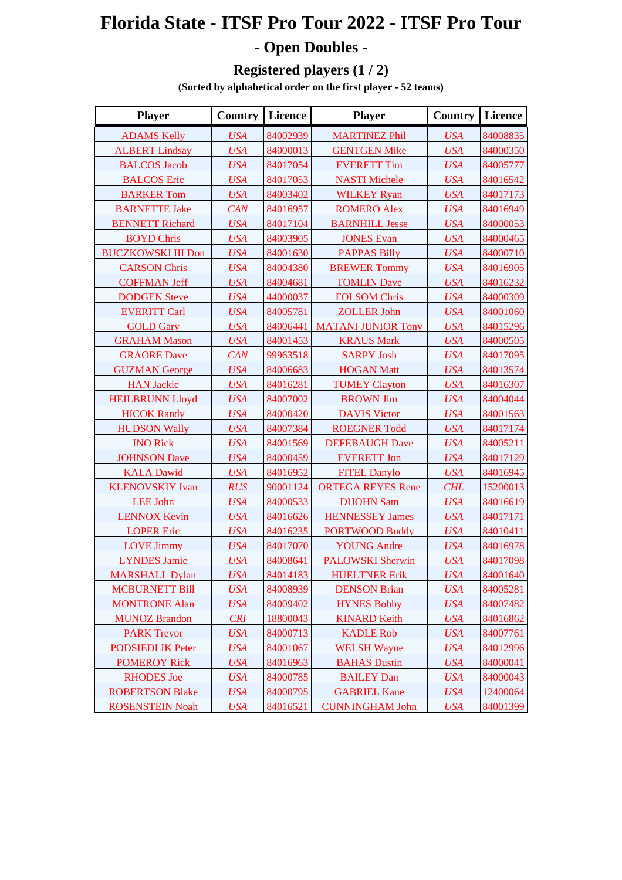## **Florida State - ITSF Pro Tour 2022 - ITSF Pro Tour - Open Doubles -**

## **Registered players (1 / 2)**

**(Sorted by alphabetical order on the first player - 52 teams)**

| <b>Player</b>             | <b>Country</b> | Licence  | <b>Player</b>             | Country    | Licence  |
|---------------------------|----------------|----------|---------------------------|------------|----------|
| <b>ADAMS Kelly</b>        | <b>USA</b>     | 84002939 | <b>MARTINEZ Phil</b>      | <b>USA</b> | 84008835 |
| <b>ALBERT Lindsay</b>     | <b>USA</b>     | 84000013 | <b>GENTGEN Mike</b>       | <b>USA</b> | 84000350 |
| <b>BALCOS</b> Jacob       | <b>USA</b>     | 84017054 | <b>EVERETT Tim</b>        | <b>USA</b> | 84005777 |
| <b>BALCOS</b> Eric        | <b>USA</b>     | 84017053 | <b>NASTI Michele</b>      | <b>USA</b> | 84016542 |
| <b>BARKER Tom</b>         | <b>USA</b>     | 84003402 | <b>WILKEY Ryan</b>        | <b>USA</b> | 84017173 |
| <b>BARNETTE Jake</b>      | CAN            | 84016957 | <b>ROMERO Alex</b>        | <b>USA</b> | 84016949 |
| <b>BENNETT Richard</b>    | <b>USA</b>     | 84017104 | <b>BARNHILL Jesse</b>     | <b>USA</b> | 84000053 |
| <b>BOYD Chris</b>         | <b>USA</b>     | 84003905 | <b>JONES Evan</b>         | <b>USA</b> | 84000465 |
| <b>BUCZKOWSKI III Don</b> | <b>USA</b>     | 84001630 | <b>PAPPAS Billy</b>       | <b>USA</b> | 84000710 |
| <b>CARSON Chris</b>       | <b>USA</b>     | 84004380 | <b>BREWER Tommy</b>       | <b>USA</b> | 84016905 |
| <b>COFFMAN Jeff</b>       | <b>USA</b>     | 84004681 | <b>TOMLIN Dave</b>        | <b>USA</b> | 84016232 |
| <b>DODGEN Steve</b>       | <b>USA</b>     | 44000037 | <b>FOLSOM Chris</b>       | <b>USA</b> | 84000309 |
| <b>EVERITT Carl</b>       | <b>USA</b>     | 84005781 | <b>ZOLLER John</b>        | <b>USA</b> | 84001060 |
| <b>GOLD Gary</b>          | <b>USA</b>     | 84006441 | <b>MATANI JUNIOR Tony</b> | <b>USA</b> | 84015296 |
| <b>GRAHAM Mason</b>       | <b>USA</b>     | 84001453 | <b>KRAUS Mark</b>         | <b>USA</b> | 84000505 |
| <b>GRAORE</b> Dave        | CAN            | 99963518 | <b>SARPY Josh</b>         | <b>USA</b> | 84017095 |
| <b>GUZMAN</b> George      | <b>USA</b>     | 84006683 | <b>HOGAN Matt</b>         | <b>USA</b> | 84013574 |
| <b>HAN Jackie</b>         | <b>USA</b>     | 84016281 | <b>TUMEY Clayton</b>      | <b>USA</b> | 84016307 |
| <b>HEILBRUNN Lloyd</b>    | <b>USA</b>     | 84007002 | <b>BROWN Jim</b>          | <b>USA</b> | 84004044 |
| <b>HICOK Randy</b>        | <b>USA</b>     | 84000420 | <b>DAVIS Victor</b>       | <b>USA</b> | 84001563 |
| <b>HUDSON Wally</b>       | <b>USA</b>     | 84007384 | <b>ROEGNER Todd</b>       | <b>USA</b> | 84017174 |
| <b>INO Rick</b>           | <b>USA</b>     | 84001569 | <b>DEFEBAUGH Dave</b>     | <b>USA</b> | 84005211 |
| <b>JOHNSON Dave</b>       | <b>USA</b>     | 84000459 | <b>EVERETT Jon</b>        | <b>USA</b> | 84017129 |
| <b>KALA Dawid</b>         | <b>USA</b>     | 84016952 | <b>FITEL Danylo</b>       | <b>USA</b> | 84016945 |
| <b>KLENOVSKIY Ivan</b>    | <b>RUS</b>     | 90001124 | <b>ORTEGA REYES Rene</b>  | <b>CHL</b> | 15200013 |
| <b>LEE John</b>           | <b>USA</b>     | 84000533 | <b>DIJOHN Sam</b>         | <b>USA</b> | 84016619 |
| <b>LENNOX Kevin</b>       | <b>USA</b>     | 84016626 | <b>HENNESSEY James</b>    | <b>USA</b> | 84017171 |
| <b>LOPER Eric</b>         | <b>USA</b>     | 84016235 | <b>PORTWOOD Buddy</b>     | <b>USA</b> | 84010411 |
| <b>LOVE Jimmy</b>         | <b>USA</b>     | 84017070 | <b>YOUNG Andre</b>        | <b>USA</b> | 84016978 |
| <b>LYNDES</b> Jamie       | <b>USA</b>     | 84008641 | PALOWSKI Sherwin          | <b>USA</b> | 84017098 |
| <b>MARSHALL Dylan</b>     | <b>USA</b>     | 84014183 | <b>HUELTNER Erik</b>      | <b>USA</b> | 84001640 |
| <b>MCBURNETT Bill</b>     | <b>USA</b>     | 84008939 | <b>DENSON Brian</b>       | <b>USA</b> | 84005281 |
| <b>MONTRONE Alan</b>      | <b>USA</b>     | 84009402 | <b>HYNES Bobby</b>        | <b>USA</b> | 84007482 |
| <b>MUNOZ Brandon</b>      | <b>CRI</b>     | 18800043 | <b>KINARD Keith</b>       | <b>USA</b> | 84016862 |
| <b>PARK Trevor</b>        | <b>USA</b>     | 84000713 | <b>KADLE Rob</b>          | <b>USA</b> | 84007761 |
| <b>PODSIEDLIK Peter</b>   | <b>USA</b>     | 84001067 | <b>WELSH Wayne</b>        | <b>USA</b> | 84012996 |
| <b>POMEROY Rick</b>       | <b>USA</b>     | 84016963 | <b>BAHAS Dustin</b>       | <b>USA</b> | 84000041 |
| <b>RHODES</b> Joe         | <b>USA</b>     | 84000785 | <b>BAILEY Dan</b>         | <b>USA</b> | 84000043 |
| <b>ROBERTSON Blake</b>    | <b>USA</b>     | 84000795 | <b>GABRIEL Kane</b>       | <b>USA</b> | 12400064 |
| <b>ROSENSTEIN Noah</b>    | <b>USA</b>     | 84016521 | <b>CUNNINGHAM John</b>    | <b>USA</b> | 84001399 |